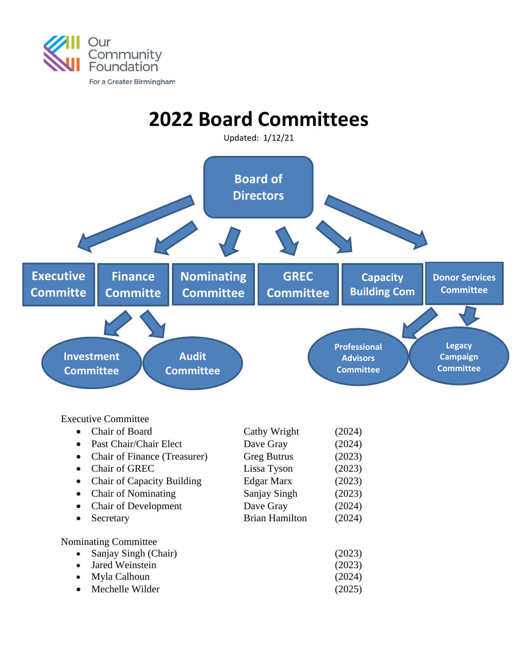

## **2022 Board Committees**

Updated: 1/12/21



Executive Committee

|           | Chair of Board                    | Cathy Wright          | (2024) |
|-----------|-----------------------------------|-----------------------|--------|
| $\bullet$ | Past Chair/Chair Elect            | Dave Gray             | (2024) |
| ٠         | Chair of Finance (Treasurer)      | <b>Greg Butrus</b>    | (2023) |
| $\bullet$ | Chair of GREC                     | Lissa Tyson           | (2023) |
| ٠         | <b>Chair of Capacity Building</b> | Edgar Marx            | (2023) |
| ٠         | <b>Chair of Nominating</b>        | Sanjay Singh          | (2023) |
| $\bullet$ | <b>Chair of Development</b>       | Dave Gray             | (2024) |
| ٠         | Secretary                         | <b>Brian Hamilton</b> | (2024) |
|           | <b>Nominating Committee</b>       |                       |        |
| $\bullet$ | Sanjay Singh (Chair)              |                       | (2023) |
|           | Jared Weinstein                   |                       | (2023) |
| ٠         | Myla Calhoun                      |                       | (2024) |
|           | Mechelle Wilder                   |                       | (2025) |
|           |                                   |                       |        |